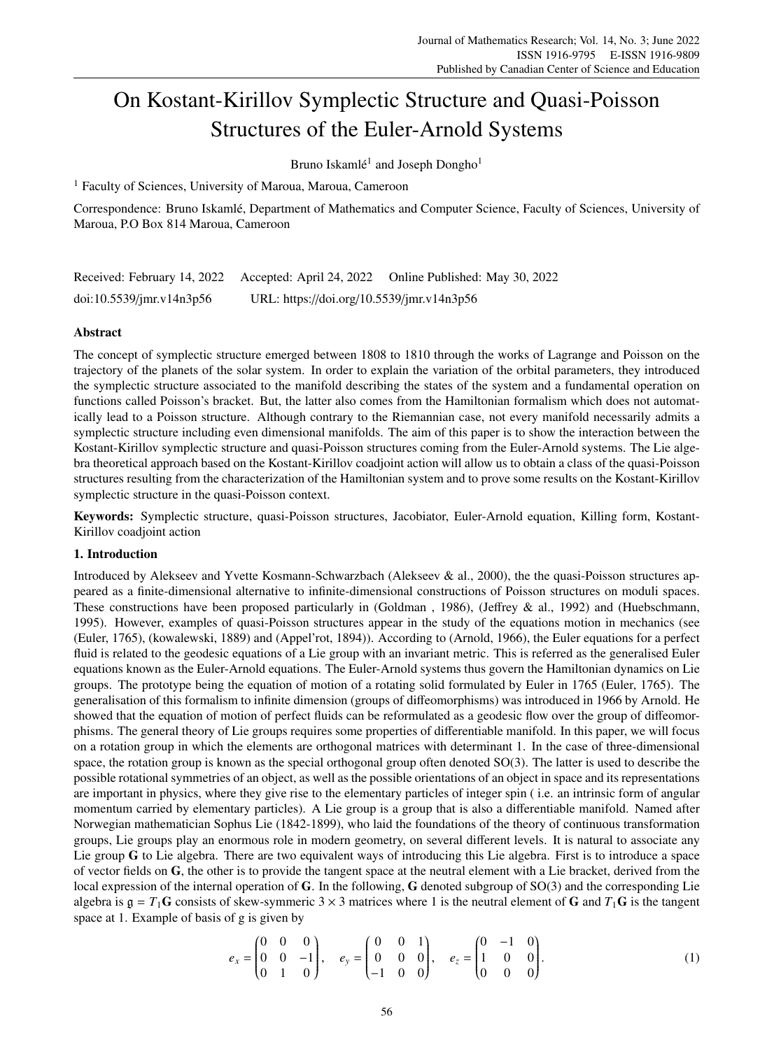# On Kostant-Kirillov Symplectic Structure and Quasi-Poisson Structures of the Euler-Arnold Systems

Bruno Iskamlé<sup>1</sup> and Joseph Dongho<sup>1</sup>

<sup>1</sup> Faculty of Sciences, University of Maroua, Maroua, Cameroon

Correspondence: Bruno Iskamle, Department of Mathematics and Computer Science, Faculty of Sciences, University of ´ Maroua, P.O Box 814 Maroua, Cameroon

|                             |                                           | Received: February 14, 2022 Accepted: April 24, 2022 Online Published: May 30, 2022 |
|-----------------------------|-------------------------------------------|-------------------------------------------------------------------------------------|
| $doi:10.5539/$ jmr.v14n3p56 | URL: https://doi.org/10.5539/jmr.v14n3p56 |                                                                                     |

# Abstract

The concept of symplectic structure emerged between 1808 to 1810 through the works of Lagrange and Poisson on the trajectory of the planets of the solar system. In order to explain the variation of the orbital parameters, they introduced the symplectic structure associated to the manifold describing the states of the system and a fundamental operation on functions called Poisson's bracket. But, the latter also comes from the Hamiltonian formalism which does not automatically lead to a Poisson structure. Although contrary to the Riemannian case, not every manifold necessarily admits a symplectic structure including even dimensional manifolds. The aim of this paper is to show the interaction between the Kostant-Kirillov symplectic structure and quasi-Poisson structures coming from the Euler-Arnold systems. The Lie algebra theoretical approach based on the Kostant-Kirillov coadjoint action will allow us to obtain a class of the quasi-Poisson structures resulting from the characterization of the Hamiltonian system and to prove some results on the Kostant-Kirillov symplectic structure in the quasi-Poisson context.

Keywords: Symplectic structure, quasi-Poisson structures, Jacobiator, Euler-Arnold equation, Killing form, Kostant-Kirillov coadjoint action

# 1. Introduction

Introduced by Alekseev and Yvette Kosmann-Schwarzbach (Alekseev & al., 2000), the the quasi-Poisson structures appeared as a finite-dimensional alternative to infinite-dimensional constructions of Poisson structures on moduli spaces. These constructions have been proposed particularly in (Goldman , 1986), (Jeffrey & al., 1992) and (Huebschmann, 1995). However, examples of quasi-Poisson structures appear in the study of the equations motion in mechanics (see (Euler, 1765), (kowalewski, 1889) and (Appel'rot, 1894)). According to (Arnold, 1966), the Euler equations for a perfect fluid is related to the geodesic equations of a Lie group with an invariant metric. This is referred as the generalised Euler equations known as the Euler-Arnold equations. The Euler-Arnold systems thus govern the Hamiltonian dynamics on Lie groups. The prototype being the equation of motion of a rotating solid formulated by Euler in 1765 (Euler, 1765). The generalisation of this formalism to infinite dimension (groups of diffeomorphisms) was introduced in 1966 by Arnold. He showed that the equation of motion of perfect fluids can be reformulated as a geodesic flow over the group of diffeomorphisms. The general theory of Lie groups requires some properties of differentiable manifold. In this paper, we will focus on a rotation group in which the elements are orthogonal matrices with determinant 1. In the case of three-dimensional space, the rotation group is known as the special orthogonal group often denoted SO(3). The latter is used to describe the possible rotational symmetries of an object, as well as the possible orientations of an object in space and its representations are important in physics, where they give rise to the elementary particles of integer spin ( i.e. an intrinsic form of angular momentum carried by elementary particles). A Lie group is a group that is also a differentiable manifold. Named after Norwegian mathematician Sophus Lie (1842-1899), who laid the foundations of the theory of continuous transformation groups, Lie groups play an enormous role in modern geometry, on several different levels. It is natural to associate any Lie group G to Lie algebra. There are two equivalent ways of introducing this Lie algebra. First is to introduce a space of vector fields on  $\mathbf{G}$ , the other is to provide the tangent space at the neutral element with a Lie bracket, derived from the local expression of the internal operation of G. In the following, G denoted subgroup of SO(3) and the corresponding Lie algebra is  $g = T_1G$  consists of skew-symmeric  $3 \times 3$  matrices where 1 is the neutral element of G and  $T_1G$  is the tangent space at 1. Example of basis of g is given by

$$
e_x = \begin{pmatrix} 0 & 0 & 0 \\ 0 & 0 & -1 \\ 0 & 1 & 0 \end{pmatrix}, \quad e_y = \begin{pmatrix} 0 & 0 & 1 \\ 0 & 0 & 0 \\ -1 & 0 & 0 \end{pmatrix}, \quad e_z = \begin{pmatrix} 0 & -1 & 0 \\ 1 & 0 & 0 \\ 0 & 0 & 0 \end{pmatrix}.
$$
 (1)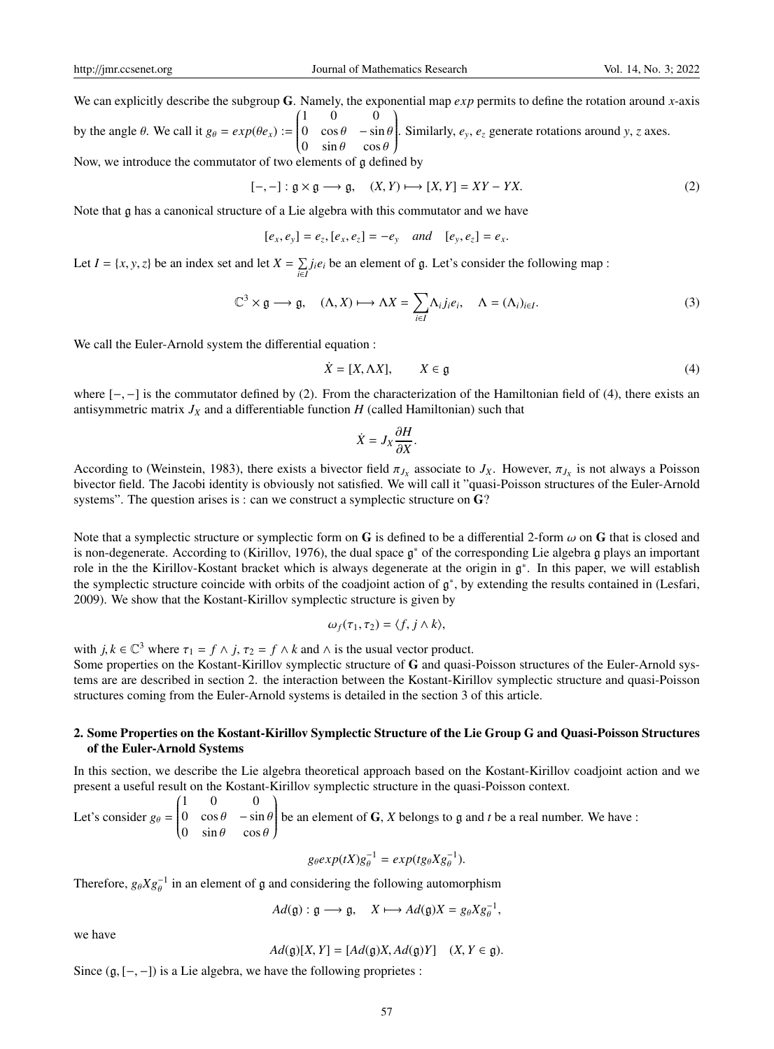We can explicitly describe the subgroup G. Namely, the exponential map *exp* permits to define the rotation around *x*-axis

by the angle  $\theta$ . We call it  $g_{\theta} = exp(\theta e_x)$  :=  $(1 \ 0 \ 0)$  $\overline{\mathcal{C}}$ 0  $\cos \theta$  –  $\sin \theta$ <br>0  $\sin \theta$  cos  $\theta$ 0  $\sin \theta$   $\cos \theta$ <br>lements of a defi  $\lambda$  $\int$ . Similarly, *ey*, *e<sup>z</sup>* generate rotations around *y*, *z* axes.

Now, we introduce the commutator of two elements of g defined by

$$
[-,-]: \mathfrak{g} \times \mathfrak{g} \longrightarrow \mathfrak{g}, \quad (X,Y) \longmapsto [X,Y] = XY - YX. \tag{2}
$$

Note that g has a canonical structure of a Lie algebra with this commutator and we have

 $[e_x, e_y] = e_z, [e_x, e_z] = -e_y \text{ and } [e_y, e_z] = e_x.$ 

Let *I* = {*x*, *y*, *z*} be an index set and let  $X = \sum_{i \in I} j_i e_i$  be an element of  $\mathfrak{g}$ . Let's consider the following map :

$$
\mathbb{C}^3 \times \mathfrak{g} \longrightarrow \mathfrak{g}, \quad (\Lambda, X) \longmapsto \Lambda X = \sum_{i \in I} \Lambda_i j_i e_i, \quad \Lambda = (\Lambda_i)_{i \in I}.
$$
 (3)

We call the Euler-Arnold system the differential equation :

$$
\dot{X} = [X, \Lambda X], \qquad X \in \mathfrak{g} \tag{4}
$$

where  $[-,-]$  is the commutator defined by (2). From the characterization of the Hamiltonian field of (4), there exists an antisymmetric matrix  $J_X$  and a differentiable function  $H$  (called Hamiltonian) such that

$$
\dot{X} = J_X \frac{\partial H}{\partial X}.
$$

According to (Weinstein, 1983), there exists a bivector field  $\pi_{J_X}$  associate to  $J_X$ . However,  $\pi_{J_X}$  is not always a Poisson<br>bivector field. The Jacobi identity is obviously not satisfied. We will call it "quasi-Po bivector field. The Jacobi identity is obviously not satisfied. We will call it "quasi-Poisson structures of the Euler-Arnold systems". The question arises is : can we construct a symplectic structure on G?

Note that a symplectic structure or symplectic form on G is defined to be a differential 2-form  $\omega$  on G that is closed and is non-degenerate. According to (Kirillov, 1976), the dual space  $\mathfrak{g}^*$  of the corresponding Lie algebra g plays an important role in the the Kirillov-Kostant bracket which is always degenerate at the origin in  $\mathfrak{g}^*$ . In this paper, we will establish the symplectic structure coincide with orbits of the coadjoint action of g ∗ , by extending the results contained in (Lesfari, 2009). We show that the Kostant-Kirillov symplectic structure is given by

$$
\omega_f(\tau_1, \tau_2) = \langle f, j \wedge k \rangle,
$$

with  $j, k \in \mathbb{C}^3$  where  $\tau_1 = f \wedge j$ ,  $\tau_2 = f \wedge k$  and  $\wedge$  is the usual vector product.

Some properties on the Kostant-Kirillov symplectic structure of G and quasi-Poisson structures of the Euler-Arnold systems are are described in section 2. the interaction between the Kostant-Kirillov symplectic structure and quasi-Poisson structures coming from the Euler-Arnold systems is detailed in the section 3 of this article.

## 2. Some Properties on the Kostant-Kirillov Symplectic Structure of the Lie Group G and Quasi-Poisson Structures of the Euler-Arnold Systems

In this section, we describe the Lie algebra theoretical approach based on the Kostant-Kirillov coadjoint action and we present a useful result on the Kostant-Kirillov symplectic structure in the quasi-Poisson context.

Let's consider  $g_{\theta}$  =  $(1 \ 0 \ 0)$  $\overline{\mathcal{C}}$ 0  $\cos \theta$  –  $\sin \theta$ <br>0  $\sin \theta$  cos  $\theta$ 0  $\sin \theta$   $\cos \theta$  $\lambda$  $\int$ be an element of G, *X* belongs to g and *t* be a real number. We have :

$$
g_{\theta}exp(tX)g_{\theta}^{-1}=exp(tg_{\theta}Xg_{\theta}^{-1}).
$$

Therefore,  $g_{\theta}Xg_{\theta}^{-1}$  in an element of g and considering the following automorphism

$$
Ad(\mathfrak{g}) : \mathfrak{g} \longrightarrow \mathfrak{g}, \quad X \longmapsto Ad(\mathfrak{g})X = g_{\theta}Xg_{\theta}^{-1},
$$

we have

$$
Ad(\mathfrak{g})[X,Y] = [Ad(\mathfrak{g})X, Ad(\mathfrak{g})Y] \quad (X, Y \in \mathfrak{g}).
$$

Since  $(g, [-, -])$  is a Lie algebra, we have the following proprietes :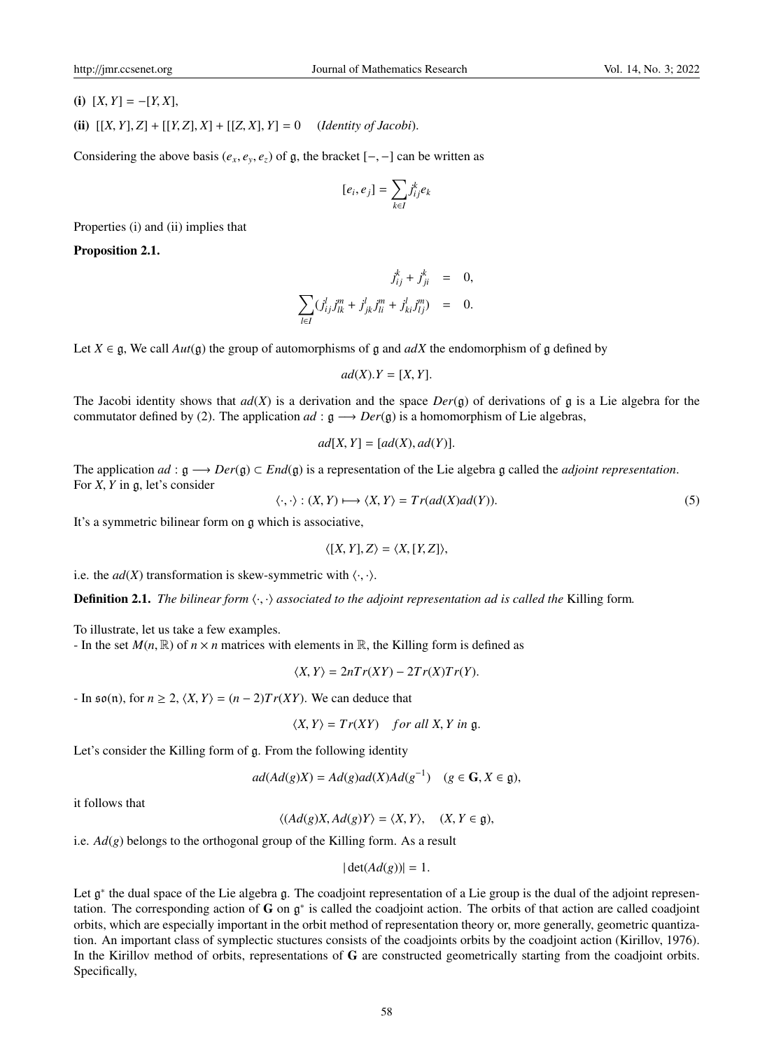(i)  $[X, Y] = -[Y, X]$ ,

(ii)  $[[X, Y], Z] + [[Y, Z], X] + [[Z, X], Y] = 0$  (*Identity of Jacobi*).

Considering the above basis ( $e_x$ ,  $e_y$ ,  $e_z$ ) of g, the bracket  $[-,-]$  can be written as

$$
[e_i,e_j]=\sum_{k\in I}j_{ij}^ke_k
$$

Properties (i) and (ii) implies that

Proposition 2.1.

$$
j_{ij}^{k} + j_{ji}^{k} = 0,
$$
  

$$
\sum_{l \in I} (j_{ij}^{l} j_{lk}^{m} + j_{jk}^{l} j_{li}^{m} + j_{ki}^{l} j_{lj}^{m}) = 0.
$$

Let  $X \in \mathfrak{g}$ , We call  $Aut(\mathfrak{g})$  the group of automorphisms of g and  $adX$  the endomorphism of g defined by

$$
ad(X).Y=[X,Y].
$$

The Jacobi identity shows that  $ad(X)$  is a derivation and the space  $Der(g)$  of derivations of g is a Lie algebra for the commutator defined by (2). The application  $ad : \mathfrak{g} \longrightarrow Der(\mathfrak{g})$  is a homomorphism of Lie algebras,

$$
ad[X, Y] = [ad(X), ad(Y)].
$$

The application *ad* : g −→ *Der*(g) ⊂ *End*(g) is a representation of the Lie algebra g called the *adjoint representation*. For *<sup>X</sup>*, *<sup>Y</sup>* in <sup>g</sup>, let's consider

$$
\langle \cdot, \cdot \rangle : (X, Y) \longmapsto \langle X, Y \rangle = Tr(ad(X)ad(Y)). \tag{5}
$$

It's a symmetric bilinear form on g which is associative,

$$
\langle [X, Y], Z \rangle = \langle X, [Y, Z] \rangle,
$$

i.e. the  $ad(X)$  transformation is skew-symmetric with  $\langle \cdot, \cdot \rangle$ .

**Definition 2.1.** *The bilinear form*  $\langle \cdot, \cdot \rangle$  *associated to the adjoint representation ad is called the* Killing form.

To illustrate, let us take a few examples.

- In the set  $M(n, \mathbb{R})$  of  $n \times n$  matrices with elements in  $\mathbb{R}$ , the Killing form is defined as

$$
\langle X, Y \rangle = 2nTr(XY) - 2Tr(X)Tr(Y).
$$

 $-$  In  $\mathfrak{so}(n)$ , for  $n \geq 2$ ,  $\langle X, Y \rangle = (n-2)Tr(XY)$ . We can deduce that

$$
\langle X, Y \rangle = Tr(XY) \quad \text{for all } X, Y \text{ in } \mathfrak{g}.
$$

Let's consider the Killing form of g. From the following identity

$$
ad(Ad(g)X) = Ad(g)ad(X)Ad(g^{-1}) \quad (g \in \mathbf{G}, X \in \mathfrak{g}),
$$

it follows that

 $\langle (Ad(g)X, Ad(g)Y \rangle = \langle X, Y \rangle, \quad (X, Y \in \mathfrak{g}),$ 

i.e.  $Ad(g)$  belongs to the orthogonal group of the Killing form. As a result

$$
|\det(Ad(g))|=1.
$$

Let  $g^*$  the dual space of the Lie algebra g. The coadjoint representation of a Lie group is the dual of the adjoint representation. The corresponding action of  $G$  on  $g^*$  is called the coadjoint action. The orbits of that action are called coadjoint orbits, which are especially important in the orbit method of representation theory or, more generally, geometric quantization. An important class of symplectic stuctures consists of the coadjoints orbits by the coadjoint action (Kirillov, 1976). In the Kirillov method of orbits, representations of G are constructed geometrically starting from the coadjoint orbits. Specifically,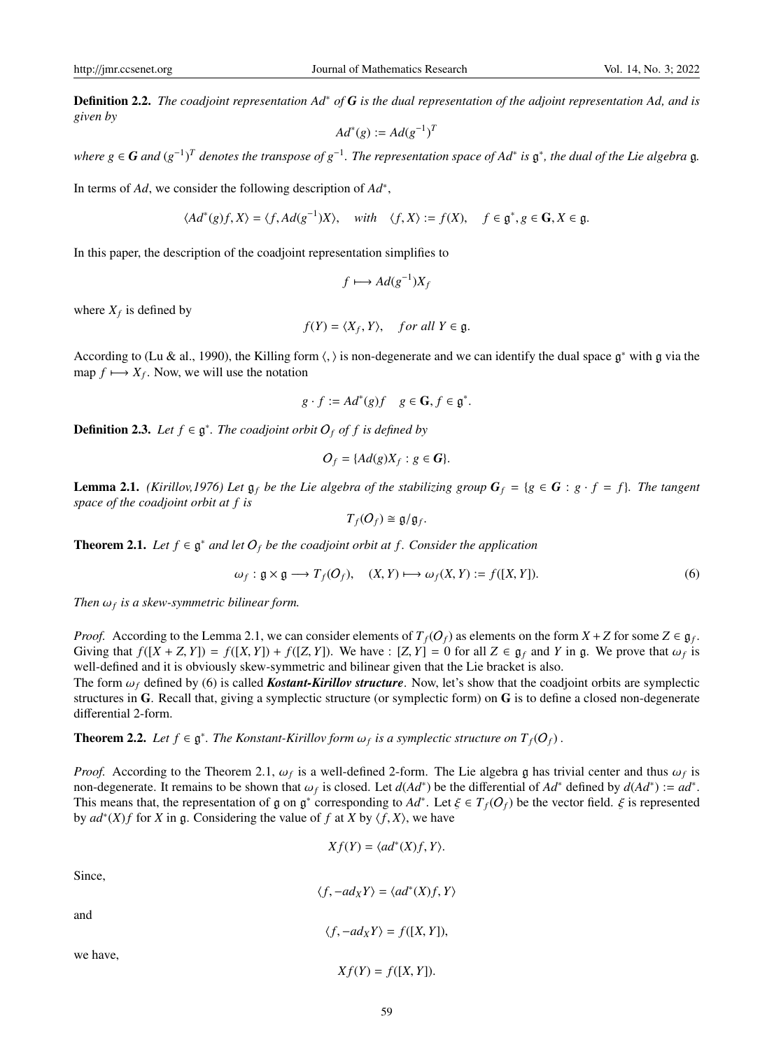Definition 2.2. *The coadjoint representation Ad*<sup>∗</sup> *of G is the dual representation of the adjoint representation Ad, and is given by*

$$
Ad^*(g) := Ad(g^{-1})^T
$$

*where*  $g$  ∈ *G* and  $(g^{-1})^T$  denotes the transpose of  $g^{-1}$ . The representation space of Ad\* is  $\mathfrak{g}^*$ , the dual of the Lie algebra  $\mathfrak{g}$ .

In terms of *Ad*, we consider the following description of *Ad*<sup>∗</sup> ,

$$
\langle Ad^*(g)f, X \rangle = \langle f, Ad(g^{-1})X \rangle, \quad \text{with} \quad \langle f, X \rangle := f(X), \quad f \in \mathfrak{g}^*, g \in \mathbf{G}, X \in \mathfrak{g}.
$$

In this paper, the description of the coadjoint representation simplifies to

$$
f \longmapsto Ad(g^{-1})X_f
$$

where  $X_f$  is defined by

$$
f(Y) = \langle X_f, Y \rangle, \quad \text{for all } Y \in \mathfrak{g}.
$$

According to (Lu & al., 1990), the Killing form  $\langle, \rangle$  is non-degenerate and we can identify the dual space  $\mathfrak{g}^*$  with g via the man  $f \mapsto X_f$ . Now we will use the notation map  $f \mapsto X_f$ . Now, we will use the notation

$$
g \cdot f := Ad^*(g)f \quad g \in \mathbf{G}, f \in \mathfrak{g}^*.
$$

**Definition 2.3.** Let  $f \in \mathfrak{g}^*$ . The coadjoint orbit  $O_f$  of f is defined by

$$
O_f = \{Ad(g)X_f : g \in G\}.
$$

**Lemma 2.1.** *(Kirillov,1976) Let*  $\mathfrak{g}_f$  *be the Lie algebra of the stabilizing group*  $G_f = \{g \in G : g \cdot f = f\}$ *. The tangent space of the coadjoint orbit at f is*

$$
T_f(O_f) \cong \mathfrak{g}/\mathfrak{g}_f.
$$

**Theorem 2.1.** Let  $f \in \mathfrak{g}^*$  and let  $O_f$  be the coadjoint orbit at f. Consider the application

$$
\omega_f: \mathfrak{g} \times \mathfrak{g} \longrightarrow T_f(O_f), \quad (X, Y) \longmapsto \omega_f(X, Y) := f([X, Y]). \tag{6}
$$

*Then* <sup>ω</sup>*<sup>f</sup> is a skew-symmetric bilinear form.*

*Proof.* According to the Lemma 2.1, we can consider elements of  $T_f(O_f)$  as elements on the form  $X + Z$  for some  $Z \in \mathfrak{g}_f$ . Giving that  $f([X + Z, Y]) = f([X, Y]) + f([Z, Y])$ . We have :  $[Z, Y] = 0$  for all  $Z \in \mathfrak{g}_f$  and Y in  $\mathfrak{g}$ . We prove that  $\omega_f$  is well-defined and it is obviously skew-symmetric and bilinear given that the Lie bracket is also well-defined and it is obviously skew-symmetric and bilinear given that the Lie bracket is also.

The form  $\omega_f$  defined by (6) is called *Kostant-Kirillov structure*. Now, let's show that the coadjoint orbits are symplectic structures in G. Recall that, giving a symplectic structure (or symplectic form) on G is to define a closed non-degenerate differential 2-form.

**Theorem 2.2.** Let  $f \in \mathfrak{g}^*$ . The Konstant-Kirillov form  $\omega_f$  is a symplectic structure on  $T_f(O_f)$ .

*Proof.* According to the Theorem 2.1,  $\omega_f$  is a well-defined 2-form. The Lie algebra g has trivial center and thus  $\omega_f$  is<br>non-degenerate. It remains to be shown that  $\omega_c$  is closed. Let  $d(Ad^*)$  be the differential of non-degenerate. It remains to be shown that  $\omega_f$  is closed. Let  $d(Ad^*)$  be the differential of  $Ad^*$  defined by  $d(Ad^*) := ad^*$ .<br>This means that the representation of  $g \text{ on } g^*$  corresponding to  $Ad^*$ . Let  $\xi \in T_e(Q_s)$  be th This means that, the representation of g on g<sup>\*</sup> corresponding to  $Ad^*$ . Let  $\xi \in T_f(O_f)$  be the vector field.  $\xi$  is represented<br>by  $ad^*(X)$  f for X in g. Considering the value of f at X by  $(f, X)$  we have by  $ad^*(X)f$  for *X* in g. Considering the value of *f* at *X* by  $\langle f, X \rangle$ , we have

$$
Xf(Y) = \langle ad^*(X)f, Y \rangle.
$$

Since,

$$
\langle f, -ad_X Y \rangle = \langle ad^*(X)f, Y \rangle
$$
  
and  

$$
\langle f, -ad_X Y \rangle = f([X, Y]),
$$
  
we have,

 $X f(Y) = f([X, Y]).$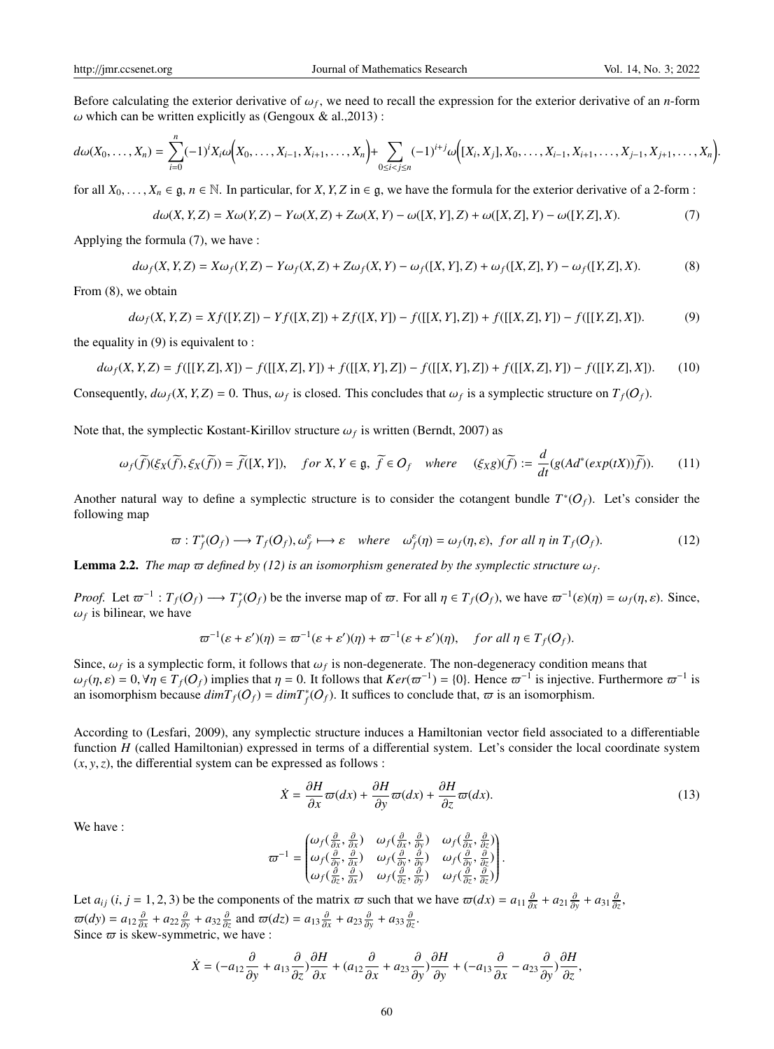Before calculating the exterior derivative of  $\omega_f$ , we need to recall the expression for the exterior derivative of an *n*-form  $\omega$  which can be written explicitly as (Gengoux & al. 2013)  $\omega$  which can be written explicitly as (Gengoux & al., 2013):

$$
d\omega(X_0,\ldots,X_n) = \sum_{i=0}^n (-1)^i X_i \omega\Big(X_0,\ldots,X_{i-1},X_{i+1},\ldots,X_n\Big) + \sum_{0 \le i < j \le n} (-1)^{i+j} \omega\Big([X_i,X_j],X_0,\ldots,X_{i-1},X_{i+1},\ldots,X_{j-1},X_{j+1},\ldots,X_n\Big)
$$

for all  $X_0, \ldots, X_n \in \mathfrak{g}, n \in \mathbb{N}$ . In particular, for *X*, *Y*, *Z* in  $\in \mathfrak{g}$ , we have the formula for the exterior derivative of a 2-form :

$$
d\omega(X, Y, Z) = X\omega(Y, Z) - Y\omega(X, Z) + Z\omega(X, Y) - \omega([X, Y], Z) + \omega([X, Z], Y) - \omega([Y, Z], X). \tag{7}
$$

Applying the formula (7), we have :

$$
d\omega_f(X, Y, Z) = X\omega_f(Y, Z) - Y\omega_f(X, Z) + Z\omega_f(X, Y) - \omega_f([X, Y], Z) + \omega_f([X, Z], Y) - \omega_f([Y, Z], X). \tag{8}
$$

From (8), we obtain

$$
d\omega_f(X, Y, Z) = Xf([Y, Z]) - Yf([X, Z]) + Zf([X, Y]) - f([[X, Y], Z]) + f([[X, Z], Y]) - f([[Y, Z], X]).
$$
 (9)

the equality in (9) is equivalent to :

$$
d\omega_f(X, Y, Z) = f([[Y, Z], X]) - f([[X, Z], Y]) + f([[X, Y], Z]) - f([[X, Y], Z]) + f([[X, Z], Y]) - f([[Y, Z], X]).
$$
 (10)

Consequently,  $d\omega_f(X, Y, Z) = 0$ . Thus,  $\omega_f$  is closed. This concludes that  $\omega_f$  is a symplectic structure on  $T_f(O_f)$ .

Note that, the symplectic Kostant-Kirillov structure  $\omega_f$  is written (Berndt, 2007) as

$$
\omega_f(\widetilde{f})(\xi_X(\widetilde{f}), \xi_X(\widetilde{f})) = \widetilde{f}([X, Y]), \quad \text{for } X, Y \in \mathfrak{g}, \ \widetilde{f} \in O_f \quad \text{where} \quad (\xi_X g)(\widetilde{f}) := \frac{d}{dt}(g(Ad^*(exp(tX))\widetilde{f})). \tag{11}
$$

Another natural way to define a symplectic structure is to consider the cotangent bundle  $T^*(O_f)$ . Let's consider the following map

$$
\varpi: T_f^*(O_f) \longrightarrow T_f(O_f), \omega_f^{\varepsilon} \longmapsto \varepsilon \quad where \quad \omega_f^{\varepsilon}(\eta) = \omega_f(\eta, \varepsilon), \text{ for all } \eta \text{ in } T_f(O_f). \tag{12}
$$

**Lemma 2.2.** The map  $\varpi$  defined by (12) is an isomorphism generated by the symplectic structure  $\omega_f$ .

*Proof.* Let  $\varpi^{-1}: T_f(O_f) \longrightarrow T_f^*(O_f)$  be the inverse map of  $\varpi$ . For all  $\eta \in T_f(O_f)$ , we have  $\varpi^{-1}(\varepsilon)(\eta) = \omega_f(\eta, \varepsilon)$ . Since,  $\omega_f$  is bilinear, we have

$$
\varpi^{-1}(\varepsilon + \varepsilon')(\eta) = \varpi^{-1}(\varepsilon + \varepsilon')(\eta) + \varpi^{-1}(\varepsilon + \varepsilon')(\eta), \quad \text{for all } \eta \in T_f(O_f).
$$

Since,  $\omega_f$  is a symplectic form, it follows that  $\omega_f$  is non-degenerate. The non-degeneracy condition means that  $\omega_f$  is  $\omega_f$   $\omega_f$   $\approx$   $\tau$ . (Q) implies that  $n = 0$ . It follows that  $Ker(\pi^{-1}) = 0$ . Hence  $\pi^{-1}$  is i  $\omega_f(\eta, \varepsilon) = 0$ ,  $\forall \eta \in T_f(O_f)$  implies that  $\eta = 0$ . It follows that  $Ker(\overline{\omega}^{-1}) = \{0\}$ . Hence  $\overline{\omega}^{-1}$  is injective. Furthermore  $\overline{\omega}^{-1}$  is an isomorphism because  $\dim T_s(O_s) = \dim T^*(O_s)$ . It suffices to conclude that an isomorphism because  $dimT_f(O_f) = dimT_f^*(O_f)$ . It suffices to conclude that,  $\varpi$  is an isomorphism.

According to (Lesfari, 2009), any symplectic structure induces a Hamiltonian vector field associated to a differentiable function *H* (called Hamiltonian) expressed in terms of a differential system. Let's consider the local coordinate system  $(x, y, z)$ , the differential system can be expressed as follows :

$$
\dot{X} = \frac{\partial H}{\partial x}\varpi(dx) + \frac{\partial H}{\partial y}\varpi(dx) + \frac{\partial H}{\partial z}\varpi(dx). \tag{13}
$$

We have :

$$
\boldsymbol{\varpi}^{-1} = \begin{pmatrix} \omega_f(\frac{\partial}{\partial x}, \frac{\partial}{\partial x}) & \omega_f(\frac{\partial}{\partial x}, \frac{\partial}{\partial y}) & \omega_f(\frac{\partial}{\partial x}, \frac{\partial}{\partial z}) \\ \omega_f(\frac{\partial}{\partial y}, \frac{\partial}{\partial x}) & \omega_f(\frac{\partial}{\partial y}, \frac{\partial}{\partial y}) & \omega_f(\frac{\partial}{\partial y}, \frac{\partial}{\partial z}) \\ \omega_f(\frac{\partial}{\partial z}, \frac{\partial}{\partial x}) & \omega_f(\frac{\partial}{\partial z}, \frac{\partial}{\partial y}) & \omega_f(\frac{\partial}{\partial z}, \frac{\partial}{\partial z}) \end{pmatrix}.
$$

Let  $a_{ij}$  (*i*, *j* = 1, 2, 3) be the components of the matrix  $\varpi$  such that we have  $\varpi(dx) = a_{11} \frac{\partial}{\partial x} + a_{21} \frac{\partial}{\partial y} + a_{31} \frac{\partial}{\partial z}$ ,  $\overline{\omega}(dy) = a_{12} \frac{\partial}{\partial x} + a_{22} \frac{\partial}{\partial y} + a_{32} \frac{\partial}{\partial z}$  and  $\overline{\omega}(dz) = a_{13} \frac{\partial}{\partial x} + a_{23} \frac{\partial}{\partial y} + a_{33} \frac{\partial}{\partial z}$ .<br>Since  $\overline{\omega}$  is skew-symmetric we have Since  $\varpi$  is skew-symmetric, we have :

$$
\dot{X} = (-a_{12}\frac{\partial}{\partial y} + a_{13}\frac{\partial}{\partial z})\frac{\partial H}{\partial x} + (a_{12}\frac{\partial}{\partial x} + a_{23}\frac{\partial}{\partial y})\frac{\partial H}{\partial y} + (-a_{13}\frac{\partial}{\partial x} - a_{23}\frac{\partial}{\partial y})\frac{\partial H}{\partial z},
$$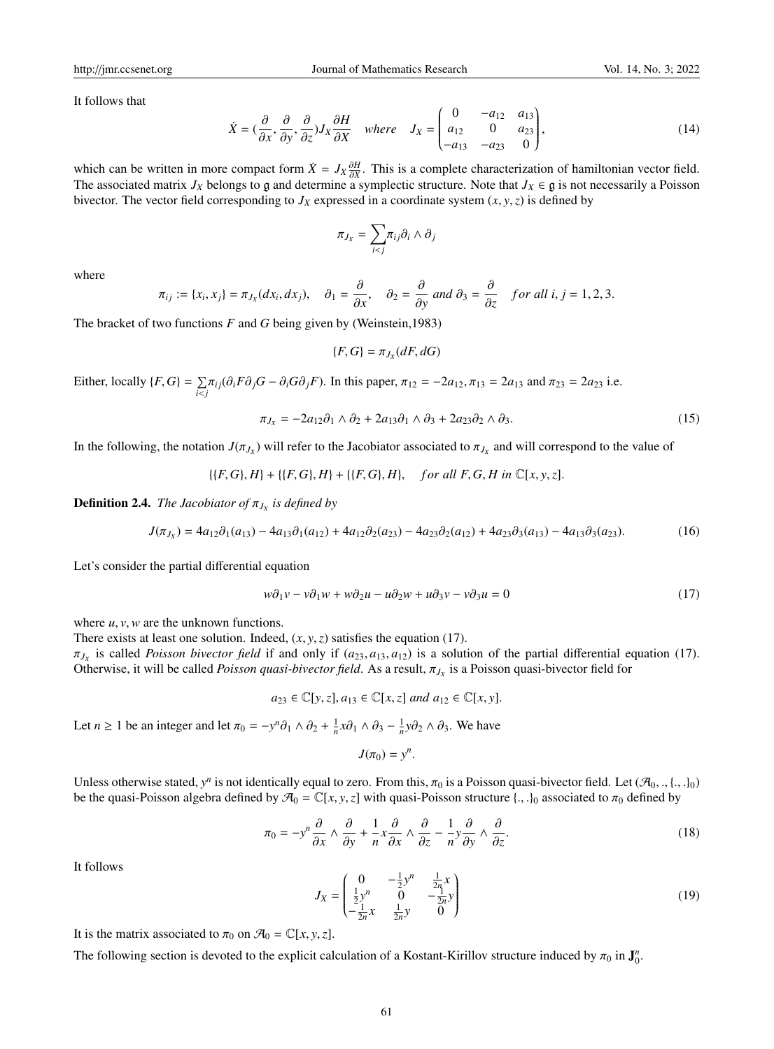http://jmr.ccsenet.org Journal of Mathematics Research Vol. 14, No. 3; 2022

It follows that

$$
\dot{X} = \left(\frac{\partial}{\partial x}, \frac{\partial}{\partial y}, \frac{\partial}{\partial z}\right) J_X \frac{\partial H}{\partial X} \quad \text{where} \quad J_X = \begin{pmatrix} 0 & -a_{12} & a_{13} \\ a_{12} & 0 & a_{23} \\ -a_{13} & -a_{23} & 0 \end{pmatrix},\tag{14}
$$

which can be written in more compact form  $\dot{X} = J_X \frac{\partial H}{\partial X}$ . This is a complete characterization of hamiltonian vector field.<br>The associated matrix *L*<sub>V</sub> belongs to g and determine a symplectic structure. Note that *L* The associated matrix  $J_X$  belongs to g and determine a symplectic structure. Note that  $J_X \in \mathfrak{g}$  is not necessarily a Poisson bivector. The vector field corresponding to  $J_X$  expressed in a coordinate system  $(x, y, z)$  is defined by

$$
\pi_{J_X} = \sum_{i < j} \pi_{ij} \partial_i \wedge \partial_j
$$

where

$$
\pi_{ij} := \{x_i, x_j\} = \pi_{J_X}(dx_i, dx_j), \quad \partial_1 = \frac{\partial}{\partial x}, \quad \partial_2 = \frac{\partial}{\partial y} \text{ and } \partial_3 = \frac{\partial}{\partial z} \quad \text{for all } i, j = 1, 2, 3.
$$

The bracket of two functions *F* and *G* being given by (Weinstein,1983)

$$
\{F,G\}=\pi_{J_X}(dF,dG)
$$

Either, locally  $\{F, G\} = \sum_{i \leq j}$  $\sum_{i \le j} \pi_{ij}(\partial_i F \partial_j G - \partial_i G \partial_j F)$ . In this paper,  $\pi_{12} = -2a_{12}, \pi_{13} = 2a_{13}$  and  $\pi_{23} = 2a_{23}$  i.e.

$$
\pi_{J_X} = -2a_{12}\partial_1 \wedge \partial_2 + 2a_{13}\partial_1 \wedge \partial_3 + 2a_{23}\partial_2 \wedge \partial_3. \tag{15}
$$

In the following, the notation  $J(\pi_{J_X})$  will refer to the Jacobiator associated to  $\pi_{J_X}$  and will correspond to the value of

$$
\{(F,G),H\}+\{(F,G),H\}+\{(F,G),H\},\quad \text{for all } F,G,H \text{ in } \mathbb{C}[x,y,z].
$$

**Definition 2.4.** *The Jacobiator of*  $\pi_{J_X}$  *is defined by* 

$$
J(\pi_{J_X}) = 4a_{12}\partial_1(a_{13}) - 4a_{13}\partial_1(a_{12}) + 4a_{12}\partial_2(a_{23}) - 4a_{23}\partial_2(a_{12}) + 4a_{23}\partial_3(a_{13}) - 4a_{13}\partial_3(a_{23}).
$$
 (16)

Let's consider the partial differential equation

$$
w\partial_1 v - v\partial_1 w + w\partial_2 u - u\partial_2 w + u\partial_3 v - v\partial_3 u = 0
$$
\n(17)

where *<sup>u</sup>*, *<sup>v</sup>*,*<sup>w</sup>* are the unknown functions.

There exists at least one solution. Indeed, (*x*, *<sup>y</sup>*,*z*) satisfies the equation (17).

 $\pi_{J_X}$  is called *Poisson bivector field* if and only if  $(a_{23}, a_{13}, a_{12})$  is a solution of the partial differential equation (17).<br>Otherwise it will be called *Poisson quasi-hivector field* As a result  $\pi$ , is a Poiss Otherwise, it will be called *Poisson quasi-bivector field*. As a result,  $\pi_{J_X}$  is a Poisson quasi-bivector field for

$$
a_{23} \in \mathbb{C}[y, z], a_{13} \in \mathbb{C}[x, z] \text{ and } a_{12} \in \mathbb{C}[x, y].
$$

Let *n* ≥ 1 be an integer and let  $\pi_0 = -y^n \partial_1 \wedge \partial_2 + \frac{1}{n} x \partial_1 \wedge \partial_3 - \frac{1}{n} y \partial_2 \wedge \partial_3$ . We have

$$
J(\pi_0) = y^n
$$

Unless otherwise stated,  $y^n$  is not identically equal to zero. From this,  $\pi_0$  is a Poisson quasi-bivector field. Let  $(\mathcal{A}_0, , \{, .\}_0)$ <br>be the quasi-Poisson algebra defined by  $\mathcal{A}_0 = \mathbb{C}[x, y, z]$  with quasi-Poisso be the quasi-Poisson algebra defined by  $\mathcal{A}_0 = \mathbb{C}[x, y, z]$  with quasi-Poisson structure  $\{\cdot, \cdot\}_0$  associated to  $\pi_0$  defined by

$$
\pi_0 = -y^n \frac{\partial}{\partial x} \wedge \frac{\partial}{\partial y} + \frac{1}{n} x \frac{\partial}{\partial x} \wedge \frac{\partial}{\partial z} - \frac{1}{n} y \frac{\partial}{\partial y} \wedge \frac{\partial}{\partial z}.
$$
\n(18)

It follows

$$
J_X = \begin{pmatrix} 0 & -\frac{1}{2}y^n & \frac{1}{2n}x \\ \frac{1}{2}y^n & 0 & -\frac{1}{2n}y \\ -\frac{1}{2n}x & \frac{1}{2n}y & 0 \end{pmatrix}
$$
(19)

It is the matrix associated to  $\pi_0$  on  $\mathcal{A}_0 = \mathbb{C}[x, y, z]$ .

The following section is devoted to the explicit calculation of a Kostant-Kirillov structure induced by  $\pi_0$  in  $\mathbf{J}_0^n$ .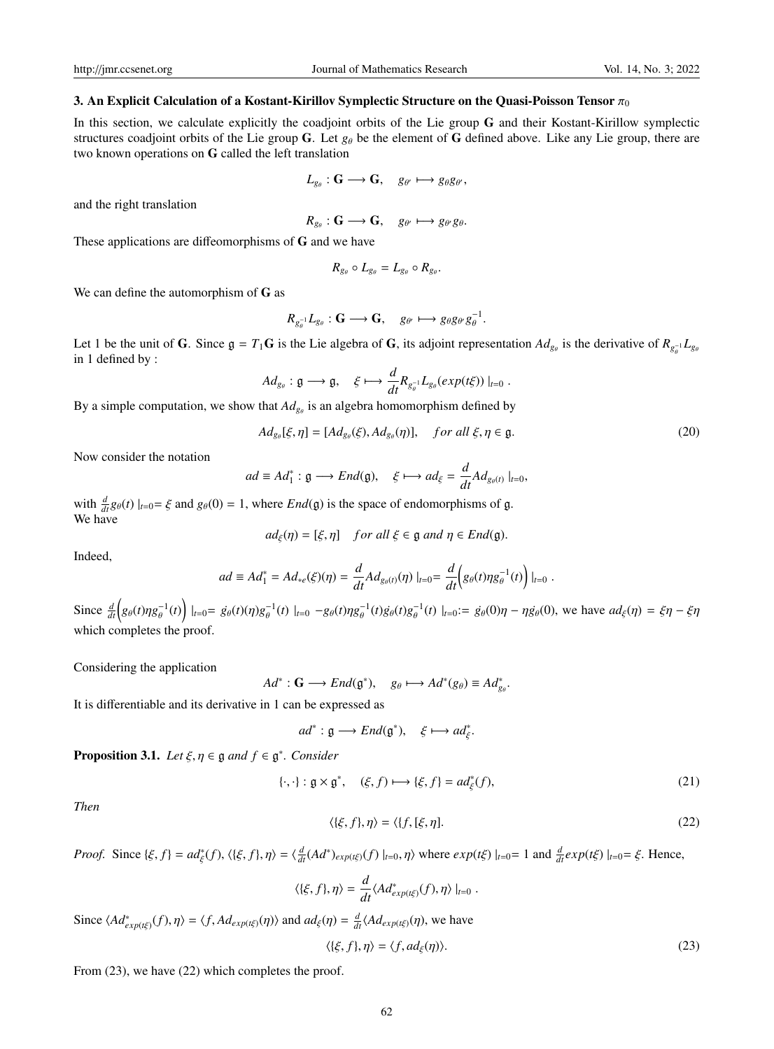#### 3. An Explicit Calculation of a Kostant-Kirillov Symplectic Structure on the Quasi-Poisson Tensor  $\pi_0$

In this section, we calculate explicitly the coadjoint orbits of the Lie group G and their Kostant-Kirillow symplectic structures coadjoint orbits of the Lie group G. Let  $g_{\theta}$  be the element of G defined above. Like any Lie group, there are two known operations on G called the left translation

$$
L_{g_{\theta}}: \mathbf{G} \longrightarrow \mathbf{G}, \quad g_{\theta'} \longmapsto g_{\theta}g_{\theta'},
$$

and the right translation

$$
R_{g_{\theta}}: \mathbf{G} \longrightarrow \mathbf{G}, \quad g_{\theta'} \longmapsto g_{\theta'}g_{\theta}.
$$

These applications are diffeomorphisms of G and we have

$$
R_{g_{\theta}} \circ L_{g_{\theta}} = L_{g_{\theta}} \circ R_{g_{\theta}}.
$$

We can define the automorphism of G as

$$
R_{g_{\theta}^{-1}}L_{g_{\theta}}: \mathbf{G} \longrightarrow \mathbf{G}, \quad g_{\theta'} \longmapsto g_{\theta}g_{\theta'}g_{\theta}^{-1}.
$$

Let 1 be the unit of **G**. Since  $g = T_1G$  is the Lie algebra of **G**, its adjoint representation  $Ad_{g_\theta}$  is the derivative of  $R_{g_\theta^{-1}}L_{g_\theta}$ in 1 defined by :

$$
Ad_{g_{\theta}}: \mathfrak{g} \longrightarrow \mathfrak{g}, \quad \xi \longmapsto \frac{d}{dt} R_{g_{\theta}^{-1}} L_{g_{\theta}}(exp(t\xi))|_{t=0}.
$$

By a simple computation, we show that  $Ad_{g_{\theta}}$  is an algebra homomorphism defined by

$$
Ad_{g_{\theta}}[\xi,\eta] = [Ad_{g_{\theta}}(\xi), Ad_{g_{\theta}}(\eta)], \quad \text{for all } \xi, \eta \in \mathfrak{g}.
$$
 (20)

Now consider the notation

$$
ad \equiv Ad_1^* : \mathfrak{g} \longrightarrow End(\mathfrak{g}), \quad \xi \longmapsto ad_{\xi} = \frac{d}{dt} Ad_{g_{\theta}(t)} \mid_{t=0},
$$

with  $\frac{d}{dt} g_{\theta}(t) |_{t=0} = \xi$  and  $g_{\theta}(0) = 1$ , where *End*(g) is the space of endomorphisms of g. We have

$$
ad_{\xi}(\eta) = [\xi, \eta] \quad \text{for all } \xi \in \mathfrak{g} \text{ and } \eta \in \text{End}(\mathfrak{g}).
$$

Indeed,

$$
ad \equiv Ad_1^* = Ad_{*e}(\xi)(\eta) = \frac{d}{dt} Ad_{g_{\theta}(t)}(\eta) |_{t=0} = \frac{d}{dt} \Big( g_{\theta}(t) \eta g_{\theta}^{-1}(t) \Big) |_{t=0}.
$$

Since  $\frac{d}{dt} \left( g_{\theta}(t) \eta g_{\theta}^{-1} \right)$  $\left(\frac{1}{\theta}(t)\right)\Big|_{t=0} = g_{\theta}(t)(\eta)g_{\theta}^{-1}$  $\int_{\theta}^{-1}(t) \Big|_{t=0} - g_{\theta}(t) \eta g_{\theta}^{-1}$  $\int_{\theta}^{-1}(t) \dot{g_{\theta}}(t) g_{\theta}^{-1}$  $\int_{\theta}^{-1}(t) \mid_{t=0} := \dot{g}_{\theta}(0)\eta - \eta \dot{g}_{\theta}(0)$ , we have  $ad_{\xi}(\eta) = \xi \eta - \xi \eta$ which completes the proof.

Considering the application

$$
Ad^*: \mathbf{G} \longrightarrow End(\mathfrak{g}^*), \quad g_\theta \longmapsto Ad^*(g_\theta) \equiv Ad^*_{g_\theta}
$$

It is differentiable and its derivative in 1 can be expressed as

$$
ad^* : \mathfrak{g} \longrightarrow End(\mathfrak{g}^*), \quad \xi \longmapsto ad^*_{\xi}.
$$

**Proposition 3.1.** *Let*  $\xi, \eta \in \mathfrak{g}$  *and*  $f \in \mathfrak{g}^*$ *. Consider* 

$$
\{\cdot, \cdot\} : \mathfrak{g} \times \mathfrak{g}^*, \quad (\xi, f) \longmapsto \{\xi, f\} = ad_{\xi}^*(f), \tag{21}
$$

ξ

*Then*

$$
\langle \{\xi, f\}, \eta \rangle = \langle \{f, [\xi, \eta]. \tag{22}
$$

*Proof.* Since  $\{\xi, f\} = ad_{\xi}^*(f), \langle \{\xi, f\}, \eta \rangle = \langle \frac{d}{dt}(Ad^*)_{exp(t\xi)}(f) \mid_{t=0}, \eta \rangle$  where  $exp(t\xi) \mid_{t=0} = 1$  and  $\frac{d}{dt}exp(t\xi) \mid_{t=0} = \xi$ . Hence, ξ

$$
\langle \{\xi, f\}, \eta \rangle = \frac{d}{dt} \langle Ad^*_{exp(t\xi)}(f), \eta \rangle |_{t=0}.
$$

Since  $\langle Ad_{exp(t\xi)}^*(f), \eta \rangle = \langle f, Ad_{exp(t\xi)}(\eta) \rangle$  and  $ad_{\xi}(\eta) = \frac{d}{dt} \langle Ad_{exp(t\xi)}(\eta) \rangle$ , we have

$$
\langle \{\xi, f\}, \eta \rangle = \langle f, ad_{\xi}(\eta) \rangle. \tag{23}
$$

From (23), we have (22) which completes the proof.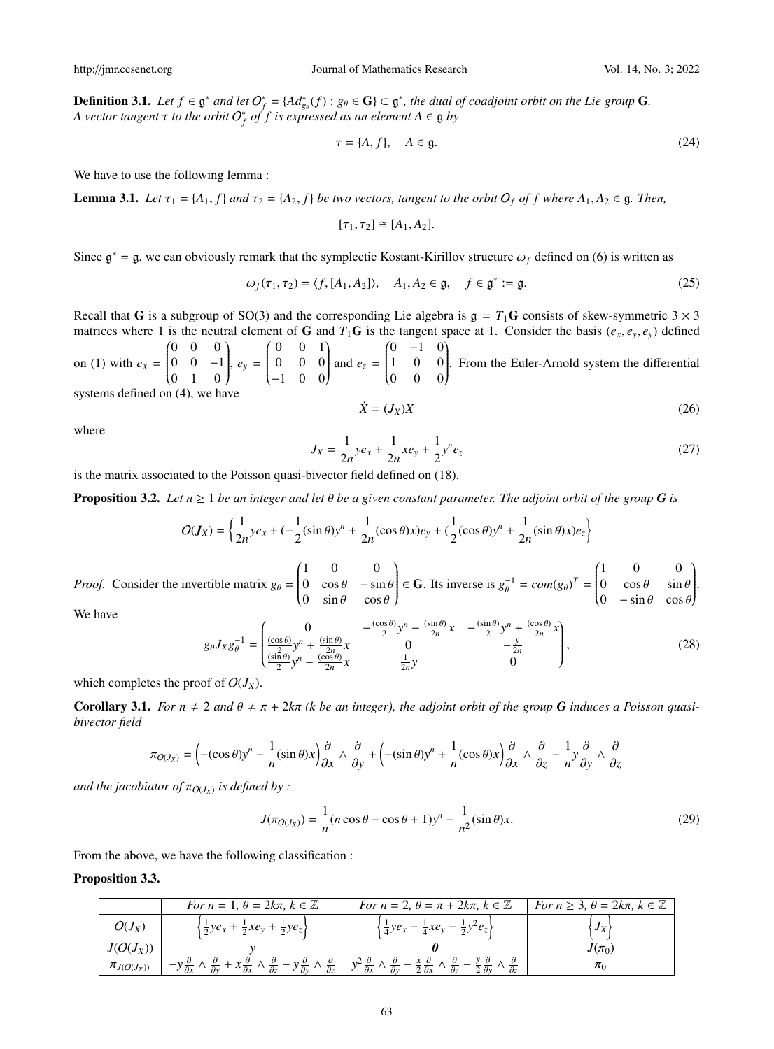**Definition 3.1.** *Let*  $f \in \mathfrak{g}^*$  *and let*  $O_f^* = \{Ad_{g_\theta}^*(f) : g_\theta \in \mathbf{G}\}\subset \mathfrak{g}^*$ , the dual of coadjoint orbit on the Lie group **G**. *A* vector tangent τ to the orbit  $O<sup>∗</sup><sub>f</sub>$  of  $f$  is expressed as an element A ∈  ${g}$  by

$$
\tau = \{A, f\}, \quad A \in \mathfrak{g}.\tag{24}
$$

We have to use the following lemma :

**Lemma 3.1.** *Let*  $\tau_1 = \{A_1, f\}$  *and*  $\tau_2 = \{A_2, f\}$  *be two vectors, tangent to the orbit*  $O_f$  *of f where*  $A_1, A_2 \in \mathfrak{g}$ *. Then,* 

$$
[\tau_1, \tau_2] \cong [A_1, A_2].
$$

Since  $\mathfrak{g}^* = \mathfrak{g}$ , we can obviously remark that the symplectic Kostant-Kirillov structure  $\omega_f$  defined on (6) is written as

$$
\omega_f(\tau_1, \tau_2) = \langle f, [A_1, A_2] \rangle, \quad A_1, A_2 \in \mathfrak{g}, \quad f \in \mathfrak{g}^* := \mathfrak{g}.
$$
 (25)

Recall that G is a subgroup of SO(3) and the corresponding Lie algebra is  $g = T_1G$  consists of skew-symmetric  $3 \times 3$ matrices where 1 is the neutral element of **G** and  $T_1$ **G** is the tangent space at 1. Consider the basis ( $e_x$ ,  $e_y$ ,  $e_y$ ) defined on (1) with  $e_x =$  0 0 0  $\overline{\phantom{a}}$  $0 \t 0 \t -1$ 0 1 0  $\lambda$  $\begin{array}{c} \hline \end{array}$ , *e<sup>y</sup>* =  $(0 \ 0 \ 1)$  $\overline{\phantom{a}}$ 0 0 0 −1 0 0  $\lambda$  $\cdot$ and  $e_z =$  $(0 -1 0$  $\overline{\phantom{a}}$ 1 0 0 0 0 0 Ì  $\cdot$ . From the Euler-Arnold system the differential

systems defined on (4), we have

$$
\dot{X} = (J_X)X\tag{26}
$$

where

$$
J_X = \frac{1}{2n} y e_x + \frac{1}{2n} x e_y + \frac{1}{2} y^n e_z \tag{27}
$$

is the matrix associated to the Poisson quasi-bivector field defined on (18).

**Proposition 3.2.** Let  $n \geq 1$  be an integer and let  $\theta$  be a given constant parameter. The adjoint orbit of the group G is

$$
O(J_X) = \left\{ \frac{1}{2n} y e_x + \left( -\frac{1}{2} (\sin \theta) y^n + \frac{1}{2n} (\cos \theta) x \right) e_y + \left( \frac{1}{2} (\cos \theta) y^n + \frac{1}{2n} (\sin \theta) x \right) e_z \right\}
$$

*Proof.* Consider the invertible matrix 
$$
g_{\theta} = \begin{pmatrix} 1 & 0 & 0 \\ 0 & \cos \theta & -\sin \theta \\ 0 & \sin \theta & \cos \theta \end{pmatrix} \in \mathbf{G}
$$
. Its inverse is  $g_{\theta}^{-1} = com(g_{\theta})^T = \begin{pmatrix} 1 & 0 & 0 \\ 0 & \cos \theta & \sin \theta \\ 0 & -\sin \theta & \cos \theta \end{pmatrix}$ .  
We have

We have

$$
g_{\theta}J_Xg_{\theta}^{-1} = \begin{pmatrix} 0 & -\frac{(\cos\theta)}{2}y^n - \frac{(\sin\theta)}{2n}x & -\frac{(\sin\theta)}{2}y^n + \frac{(\cos\theta)}{2n}x \\ \frac{(\sin\theta)}{2}y^n + \frac{(\sin\theta)}{2n}x & 0 & -\frac{y}{2n} \\ \frac{(\sin\theta)}{2}y^n - \frac{(\cos\theta)}{2n}x & \frac{1}{2n}y & 0 \end{pmatrix},
$$
(28)

which completes the proof of  $O(J_X)$ .

**Corollary 3.1.** For  $n \neq 2$  and  $\theta \neq \pi + 2k\pi$  (k be an integer), the adjoint orbit of the group **G** induces a Poisson quasi*bivector field*

$$
\pi_{O(J_X)} = \left( -(\cos \theta) y^n - \frac{1}{n} (\sin \theta) x \right) \frac{\partial}{\partial x} \wedge \frac{\partial}{\partial y} + \left( -(\sin \theta) y^n + \frac{1}{n} (\cos \theta) x \right) \frac{\partial}{\partial x} \wedge \frac{\partial}{\partial z} - \frac{1}{n} y \frac{\partial}{\partial y} \wedge \frac{\partial}{\partial z}
$$

and the jacobiator of  $\pi_{O(J_X)}$  is defined by :

$$
J(\pi_{O(J_X)}) = \frac{1}{n}(n\cos\theta - \cos\theta + 1)y^n - \frac{1}{n^2}(\sin\theta)x.
$$
 (29)

From the above, we have the following classification :

## Proposition 3.3.

|                   | For $n = 1$ , $\theta = 2k\pi$ , $k \in \mathbb{Z}$                                                                                                                                      | For $n = 2$ , $\theta = \pi + 2k\pi$ , $k \in \mathbb{Z}$                                                                                              | For $n \geq 3$ , $\theta = 2k\pi$ , $k \in \mathbb{Z}$ |
|-------------------|------------------------------------------------------------------------------------------------------------------------------------------------------------------------------------------|--------------------------------------------------------------------------------------------------------------------------------------------------------|--------------------------------------------------------|
| $O(J_X)$          | $\frac{1}{2}ye_x + \frac{1}{2}xe_y + \frac{1}{2}ye_z$                                                                                                                                    | $\frac{1}{4}ye_x - \frac{1}{4}xe_y - \frac{1}{2}y^2e_z$                                                                                                |                                                        |
| $J(O(J_X))$       |                                                                                                                                                                                          |                                                                                                                                                        | $J(\pi_0)$                                             |
| $\pi_{J(O(J_X))}$ | $\overline{y} + x \frac{1}{\partial x} \wedge \frac{1}{\partial z} - y \frac{1}{\partial y} \wedge \frac{1}{\partial z}$<br>$-y\frac{1}{\partial x}$ $\wedge$<br>$\overline{\partial v}$ | $y^2 \frac{\partial}{\partial x} \wedge \frac{\partial}{\partial y} - \frac{\alpha}{2} \frac{\partial}{\partial x} \wedge \frac{\partial}{\partial z}$ |                                                        |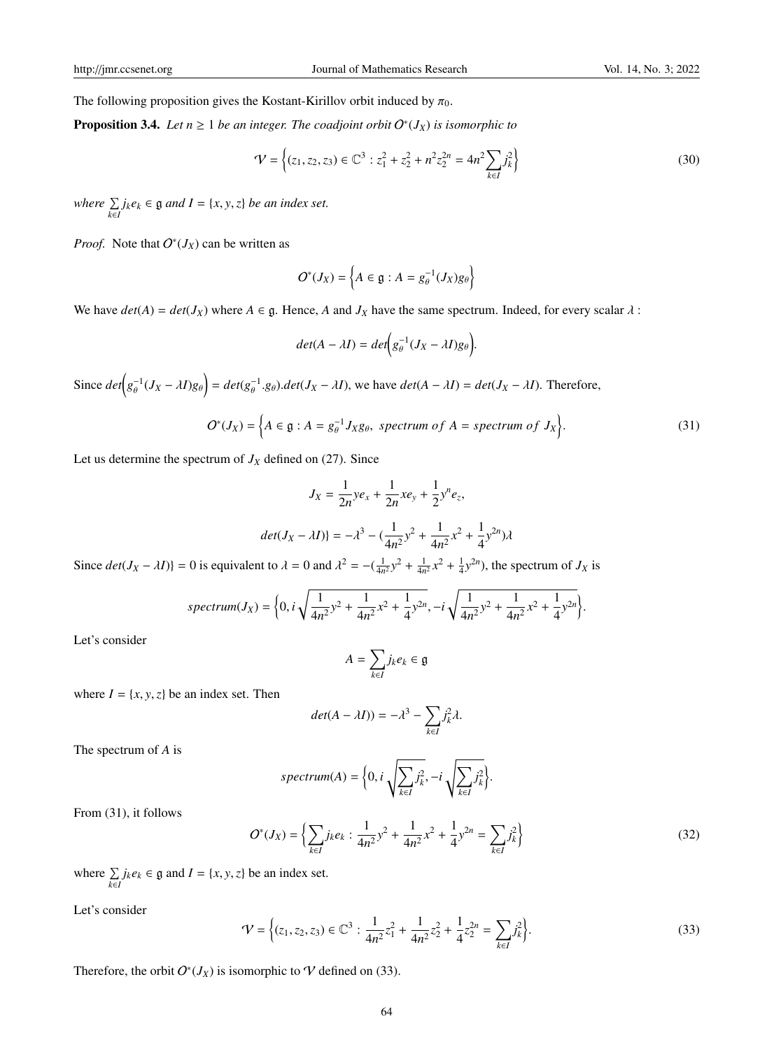The following proposition gives the Kostant-Kirillov orbit induced by  $\pi_0$ .

**Proposition 3.4.** Let  $n \geq 1$  be an integer. The coadjoint orbit  $O^*(J_X)$  is isomorphic to

$$
\mathcal{V} = \left\{ (z_1, z_2, z_3) \in \mathbb{C}^3 : z_1^2 + z_2^2 + n^2 z_2^{2n} = 4n^2 \sum_{k \in I} j_k^2 \right\}
$$
(30)

*where*  $\sum_{k \in I} j_k e_k \in \mathfrak{g}$  *and*  $I = \{x, y, z\}$  *be an index set.* 

*Proof.* Note that  $O^*(J_X)$  can be written as

$$
O^*(J_X) = \left\{ A \in \mathfrak{g} : A = g_\theta^{-1}(J_X)g_\theta \right\}
$$

We have  $det(A) = det(J_X)$  where  $A \in \mathfrak{g}$ . Hence, A and  $J_X$  have the same spectrum. Indeed, for every scalar  $\lambda$ :

$$
det(A - \lambda I) = det(g_{\theta}^{-1}(J_X - \lambda I)g_{\theta})
$$

Since  $det(g_{\theta}^{-1})$  $\left(\frac{\partial^2 I}{\partial y^2}J_X - \lambda I\right)g_\theta\right) = det(g_\theta^{-1})$  $\sigma_{\theta}^{-1}$ .g<sub>θ</sub>).det( $J_X - \lambda I$ ), we have  $det(A - \lambda I) = det(J_X - \lambda I)$ . Therefore,

$$
O^*(J_X) = \left\{ A \in \mathfrak{g} : A = g_\theta^{-1} J_X g_\theta, \text{ spectrum of } A = \text{spectrum of } J_X \right\}. \tag{31}
$$

Let us determine the spectrum of  $J_X$  defined on (27). Since

$$
J_X = \frac{1}{2n}ye_x + \frac{1}{2n}xe_y + \frac{1}{2}y^ne_z,
$$
  

$$
det(J_X - \lambda I) = -\lambda^3 - (\frac{1}{4n^2}y^2 + \frac{1}{4n^2}x^2 + \frac{1}{4}y^{2n})\lambda
$$

Since  $det(J_X - \lambda I)$  = 0 is equivalent to  $\lambda = 0$  and  $\lambda^2 = -(\frac{1}{4n^2}y^2 + \frac{1}{4n^2}x^2 + \frac{1}{4}y^{2n})$ , the spectrum of  $J_X$  is

$$
spectrum(J_X) = \bigg\{0, i\sqrt{\frac{1}{4n^2}y^2 + \frac{1}{4n^2}x^2 + \frac{1}{4}y^{2n}}, -i\sqrt{\frac{1}{4n^2}y^2 + \frac{1}{4n^2}x^2 + \frac{1}{4}y^{2n}}\bigg\}.
$$

Let's consider

$$
A = \sum_{k \in I} j_k e_k \in \mathfrak{g}
$$

where  $I = \{x, y, z\}$  be an index set. Then

$$
det(A - \lambda I)) = -\lambda^3 - \sum_{k \in I} j_k^2 \lambda.
$$

The spectrum of *A* is

$$
spectrum(A) = \bigg\{0, i \sqrt{\sum_{k \in I} j_k^2}, -i \sqrt{\sum_{k \in I} j_k^2}\bigg\}.
$$

From (31), it follows

$$
O^*(J_X) = \left\{ \sum_{k \in I} j_k e_k : \frac{1}{4n^2} y^2 + \frac{1}{4n^2} x^2 + \frac{1}{4} y^{2n} = \sum_{k \in I} j_k^2 \right\}
$$
(32)

where  $\sum_{k \in I} j_k e_k \in \mathfrak{g}$  and  $I = \{x, y, z\}$  be an index set.

Let's consider

$$
\mathcal{V} = \left\{ (z_1, z_2, z_3) \in \mathbb{C}^3 : \frac{1}{4n^2} z_1^2 + \frac{1}{4n^2} z_2^2 + \frac{1}{4} z_2^{2n} = \sum_{k \in I} j_k^2 \right\}.
$$
 (33)

Therefore, the orbit  $O^*(J_X)$  is isomorphic to  $\mathcal V$  defined on (33).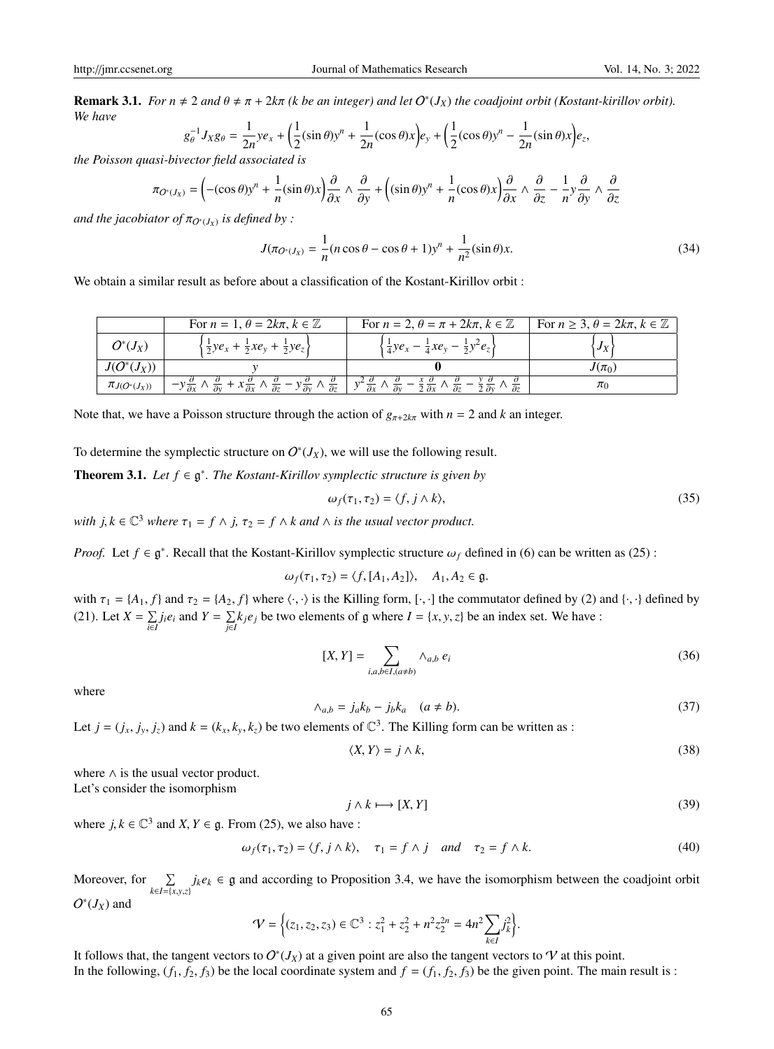**Remark 3.1.** *For n*  $\neq$  2 *and*  $\theta \neq \pi + 2k\pi$  (*k be an integer*) *and let*  $O^*(J_X)$  *the coadjoint orbit* (*Kostant-kirillov orbit*). *We have*

$$
g_{\theta}^{-1}J_Xg_{\theta} = \frac{1}{2n}ye_x + \left(\frac{1}{2}(\sin \theta)y^n + \frac{1}{2n}(\cos \theta)x\right)e_y + \left(\frac{1}{2}(\cos \theta)y^n - \frac{1}{2n}(\sin \theta)x\right)e_z,
$$

*the Poisson quasi-bivector field associated is*

$$
\pi_{O^*(J_X)} = \left( -(\cos \theta) y^n + \frac{1}{n} (\sin \theta) x \right) \frac{\partial}{\partial x} \wedge \frac{\partial}{\partial y} + \left( (\sin \theta) y^n + \frac{1}{n} (\cos \theta) x \right) \frac{\partial}{\partial x} \wedge \frac{\partial}{\partial z} - \frac{1}{n} y \frac{\partial}{\partial y} \wedge \frac{\partial}{\partial z}
$$

and the jacobiator of  $\pi_{O^*(J_X)}$  is defined by :

$$
J(\pi_{O^*(J_X)} = \frac{1}{n}(n\cos\theta - \cos\theta + 1)y^n + \frac{1}{n^2}(\sin\theta)x.
$$
 (34)

We obtain a similar result as before about a classification of the Kostant-Kirillov orbit :

|                     | For $n = 1$ , $\theta = 2k\pi$ , $k \in \mathbb{Z}$                                                                                                                                             | For $n = 2$ , $\theta = \pi + 2k\pi$ , $k \in \mathbb{Z}$                                                                                                                              | For $n \geq 3$ , $\theta = 2k\pi$ , $k \in \mathbb{Z}$ |
|---------------------|-------------------------------------------------------------------------------------------------------------------------------------------------------------------------------------------------|----------------------------------------------------------------------------------------------------------------------------------------------------------------------------------------|--------------------------------------------------------|
| $J^*(J_X)$          | $\frac{1}{2}ye_x + \frac{1}{2}xe_y + \frac{1}{2}ye_z$                                                                                                                                           | $\frac{1}{4}ye_x - \frac{1}{4}xe_y - \frac{1}{2}y^2e_z$                                                                                                                                |                                                        |
| $(U^{\cdot}(J_X))$  |                                                                                                                                                                                                 |                                                                                                                                                                                        | $J(\pi_0)$                                             |
| $\pi_{J(O^*(J_X))}$ | $-y\frac{\partial}{\partial x}\wedge \frac{\partial}{\partial y}+x\frac{\partial}{\partial x}\wedge \frac{\partial}{\partial z}-y\frac{\partial}{\partial y}\wedge \frac{\partial}{\partial z}$ | $y^2 \frac{\partial}{\partial x} \wedge \frac{\partial}{\partial y} - \frac{\lambda}{2} \frac{\partial}{\partial x} \wedge \frac{\partial}{\partial z}$<br>$\sqrt{\frac{1}{\theta^2}}$ |                                                        |

Note that, we have a Poisson structure through the action of  $g_{\pi+2k\pi}$  with  $n = 2$  and k an integer.

To determine the symplectic structure on  $O^*(J_X)$ , we will use the following result.

**Theorem 3.1.** *Let*  $f \in \mathfrak{g}^*$ *. The Kostant-Kirillov symplectic structure is given by* 

$$
\omega_f(\tau_1, \tau_2) = \langle f, j \wedge k \rangle,
$$
  
with  $j, k \in \mathbb{C}^3$  where  $\tau_1 = f \wedge j$ ,  $\tau_2 = f \wedge k$  and  $\wedge$  is the usual vector product. (35)

*Proof.* Let  $f \in \mathfrak{g}^*$ . Recall that the Kostant-Kirillov symplectic structure  $\omega_f$  defined in (6) can be written as (25) :

 $\omega_f(\tau_1, \tau_2) = \langle f, [A_1, A_2] \rangle, \quad A_1, A_2 \in \mathfrak{g}.$ 

with  $\tau_1 = \{A_1, f\}$  and  $\tau_2 = \{A_2, f\}$  where  $\langle \cdot, \cdot \rangle$  is the Killing form, [ $\cdot, \cdot$ ] the commutator defined by (2) and  $\langle \cdot, \cdot \rangle$  defined by (21). Let  $X = \sum_{i \in I} j_i e_i$  and  $Y = \sum_{j \in I} k_j e_j$  be two elements of g where  $I = \{x, y, z\}$  be an index set. We have :

$$
[X,Y] = \sum_{i,a,b \in I, (a \neq b)} \wedge_{a,b} e_i \tag{36}
$$

where

$$
\wedge_{a,b} = j_a k_b - j_b k_a \quad (a \neq b). \tag{37}
$$

Let  $j = (j_x, j_y, j_z)$  and  $k = (k_x, k_y, k_z)$  be two elements of  $\mathbb{C}^3$ . The Killing form can be written as :

$$
\langle X, Y \rangle = j \wedge k,\tag{38}
$$

where ∧ is the usual vector product. Let's consider the isomorphism

$$
j \wedge k \longmapsto [X, Y] \tag{39}
$$

where  $j, k \in \mathbb{C}^3$  and  $X, Y \in \mathfrak{g}$ . From (25), we also have :

$$
\omega_f(\tau_1, \tau_2) = \langle f, j \wedge k \rangle, \quad \tau_1 = f \wedge j \quad \text{and} \quad \tau_2 = f \wedge k. \tag{40}
$$

Moreover, for  $\Sigma$ *<sup>k</sup>*∈*I*={*x*,*y*,*z*}  $j_k e_k \in \mathfrak{g}$  and according to Proposition 3.4, we have the isomorphism between the coadjoint orbit  $O^*(J_X)$  and

$$
\mathcal{V} = \Big\{ (z_1, z_2, z_3) \in \mathbb{C}^3 : z_1^2 + z_2^2 + n^2 z_2^{2n} = 4n^2 \sum_{k \in I} j_k^2 \Big\}.
$$

It follows that, the tangent vectors to  $O^*(J_X)$  at a given point are also the tangent vectors to  $\mathcal V$  at this point. In the following,  $(f_1, f_2, f_3)$  be the local coordinate system and  $f = (f_1, f_2, f_3)$  be the given point. The main result is :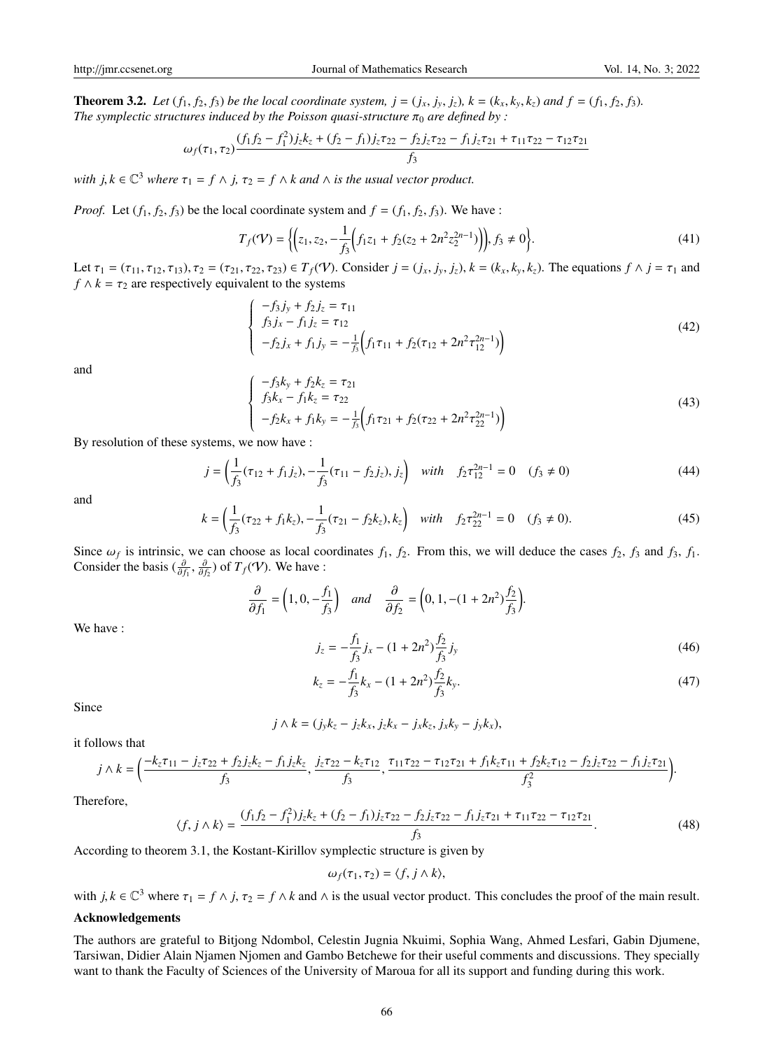**Theorem 3.2.** Let  $(f_1, f_2, f_3)$  be the local coordinate system,  $j = (j_x, j_y, j_z)$ ,  $k = (k_x, k_y, k_z)$  and  $f = (f_1, f_2, f_3)$ . *The symplectic structures induced by the Poisson quasi-structure*  $\pi_0$  *are defined by :* 

$$
\omega_f(\tau_1, \tau_2) \frac{(f_1 f_2 - f_1^2) j_z k_z + (f_2 - f_1) j_z \tau_{22} - f_2 j_z \tau_{22} - f_1 j_z \tau_{21} + \tau_{11} \tau_{22} - \tau_{12} \tau_{21}}{f_3}
$$

*with*  $j, k \in \mathbb{C}^3$  *where*  $\tau_1 = f \wedge j$ ,  $\tau_2 = f \wedge k$  *and*  $\wedge$  *is the usual vector product.* 

*Proof.* Let  $(f_1, f_2, f_3)$  be the local coordinate system and  $f = (f_1, f_2, f_3)$ . We have :

$$
T_f(\mathcal{V}) = \left\{ \left( z_1, z_2, -\frac{1}{f_3} \left( f_1 z_1 + f_2 (z_2 + 2n^2 z_2^{2n-1}) \right) \right), f_3 \neq 0 \right\}.
$$
 (41)

Let  $\tau_1 = (\tau_{11}, \tau_{12}, \tau_{13}), \tau_2 = (\tau_{21}, \tau_{22}, \tau_{23}) \in T_f(\mathcal{V})$ . Consider  $j = (j_x, j_y, j_z), k = (k_x, k_y, k_z)$ . The equations  $f \wedge j = \tau_1$  and  $f \wedge k = \tau_2$  are respectively equivalent to the systems

$$
\begin{cases}\n-f_3 j_y + f_2 j_z = \tau_{11} \\
f_3 j_x - f_1 j_z = \tau_{12} \\
-f_2 j_x + f_1 j_y = -\frac{1}{f_3} \left( f_1 \tau_{11} + f_2(\tau_{12} + 2n^2 \tau_{12}^{2n-1}) \right)\n\end{cases} \tag{42}
$$

and

$$
\begin{cases}\n-f_3k_y + f_2k_z = \tau_{21} \\
f_3k_x - f_1k_z = \tau_{22} \\
-f_2k_x + f_1k_y = -\frac{1}{f_3}\left(f_1\tau_{21} + f_2(\tau_{22} + 2n^2\tau_{22}^{2n-1})\right)\n\end{cases} (43)
$$

By resolution of these systems, we now have :

$$
j = \left(\frac{1}{f_3}(\tau_{12} + f_1 j_z), -\frac{1}{f_3}(\tau_{11} - f_2 j_z), j_z\right) \quad \text{with} \quad f_2 \tau_{12}^{2n-1} = 0 \quad (f_3 \neq 0)
$$
 (44)

and

$$
k = \left(\frac{1}{f_3}(\tau_{22} + f_1 k_z), -\frac{1}{f_3}(\tau_{21} - f_2 k_z), k_z\right) \quad \text{with} \quad f_2 \tau_{22}^{2n-1} = 0 \quad (f_3 \neq 0). \tag{45}
$$

Since  $\omega_f$  is intrinsic, we can choose as local coordinates  $f_1$ ,  $f_2$ . From this, we will deduce the cases  $f_2$ ,  $f_3$  and  $f_3$ ,  $f_1$ .<br>Consider the basis  $(\frac{\partial}{\partial x}, \frac{\partial}{\partial y})$  of  $T_c(\mathcal{U})$ . We have: Consider the basis  $(\frac{\partial}{\partial f_1}, \frac{\partial}{\partial f_2})$  of  $T_f(\mathcal{V})$ . We have :

$$
\frac{\partial}{\partial f_1} = \left(1, 0, -\frac{f_1}{f_3}\right) \quad \text{and} \quad \frac{\partial}{\partial f_2} = \left(0, 1, -(1+2n^2)\frac{f_2}{f_3}\right).
$$
\n
$$
j_z = -\frac{f_1}{f_3}j_x - (1+2n^2)\frac{f_2}{f_3}j_y
$$
\n
$$
k_z = -\frac{f_1}{f_3}k_x - (1+2n^2)\frac{f_2}{f_3}k_y.
$$
\n(47)

Since

We have :

$$
j \wedge k = (j_y k_z - j_z k_x, j_z k_x - j_x k_z, j_x k_y - j_y k_x),
$$

it follows that

$$
j \wedge k = \left(\frac{-k_z \tau_{11} - j_z \tau_{22} + f_2 j_z k_z - f_1 j_z k_z}{f_3}, \frac{j_z \tau_{22} - k_z \tau_{12}}{f_3}, \frac{\tau_{11} \tau_{22} - \tau_{12} \tau_{21} + f_1 k_z \tau_{11} + f_2 k_z \tau_{12} - f_2 j_z \tau_{22} - f_1 j_z \tau_{21}}{f_3^2}\right).
$$

Therefore,

$$
\langle f, j \wedge k \rangle = \frac{(f_1 f_2 - f_1^2) j_z k_z + (f_2 - f_1) j_z \tau_{22} - f_2 j_z \tau_{22} - f_1 j_z \tau_{21} + \tau_{11} \tau_{22} - \tau_{12} \tau_{21}}{f_3}.
$$
(48)

According to theorem 3.1, the Kostant-Kirillov symplectic structure is given by

$$
\omega_f(\tau_1, \tau_2) = \langle f, j \wedge k \rangle,
$$

with  $j, k \in \mathbb{C}^3$  where  $\tau_1 = f \wedge j$ ,  $\tau_2 = f \wedge k$  and  $\wedge$  is the usual vector product. This concludes the proof of the main result.

# Acknowledgements

The authors are grateful to Bitjong Ndombol, Celestin Jugnia Nkuimi, Sophia Wang, Ahmed Lesfari, Gabin Djumene, Tarsiwan, Didier Alain Njamen Njomen and Gambo Betchewe for their useful comments and discussions. They specially want to thank the Faculty of Sciences of the University of Maroua for all its support and funding during this work.